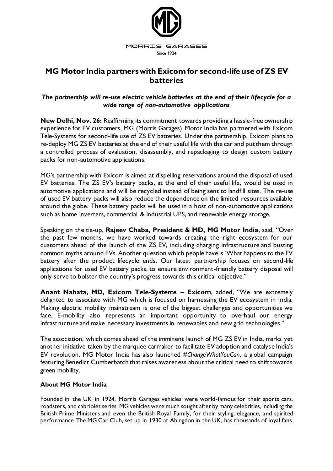

## **MG Motor India partners with Exicom for second-life use of ZS EV batteries**

## *The partnership will re-use electric vehicle batteries at the end of their lifecycle for a wide range of non-automotive applications*

**New Delhi, Nov. 26:** Reaffirming its commitment towards providing a hassle-free ownership experience for EV customers, MG (Morris Garages) Motor India has partnered with Exicom Tele-Systems for second-life use of ZS EV batteries. Under the partnership, Exicom plans to re-deploy MG ZS EV batteries at the end of their useful life with the car and put them through a controlled process of evaluation, disassembly, and repackaging to design custom battery packs for non-automotive applications.

MG's partnership with Exicom is aimed at dispelling reservations around the disposal of used EV batteries. The ZS EV's battery packs, at the end of their useful life, would be used in automotive applications and will be recycled instead of being sent to landfill sites. The re-use of used EV battery packs will also reduce the dependence on the limited resources available around the globe. These battery packs will be used in a host of non-automotive applications such as home inverters, commercial & industrial UPS, and renewable energy storage.

Speaking on the tie-up, **Rajeev Chaba, President & MD, MG Motor India**, said, "Over the past few months, we have worked towards creating the right ecosystem for our customers ahead of the launch of the ZS EV, including charging infrastructure and busting common myths around EVs. Another question which people have is 'What happens to the EV battery after the product lifecycle ends. Our latest partnership focuses on second-life applications for used EV battery packs, to ensure environment-friendly battery disposal will only serve to bolster the country's progress towards this critical objective."

**Anant Nahata, MD, Exicom Tele-Systems – Exicom**, added, "We are extremely delighted to associate with MG which is focused on harnessing the EV ecosystem in India. Making electric mobility mainstream is one of the biggest challenges and opportunities we face. E-mobility also represents an important opportunity to overhaul our energy infrastructure and make necessary investments in renewables and new grid technologies."

The association, which comes ahead of the imminent launch of MG ZS EV in India, marks yet another initiative taken by the marquee carmaker to facilitate EV adoption and catalyse India's EV revolution. MG Motor India has also launched *#ChangeWhatYouCan*, a global campaign featuring Benedict Cumberbatch that raises awareness about the critical need to shift towards green mobility.

## **About MG Motor India**

Founded in the UK in 1924, Morris Garages vehicles were world-famous for their sports cars, roadsters, and cabriolet series. MG vehicles were much sought after by many celebrities, including the British Prime Ministers and even the British Royal Family, for their styling, elegance, and spirited performance. The MG Car Club, set up in 1930 at Abingdon in the UK, has thousands of loyal fans,